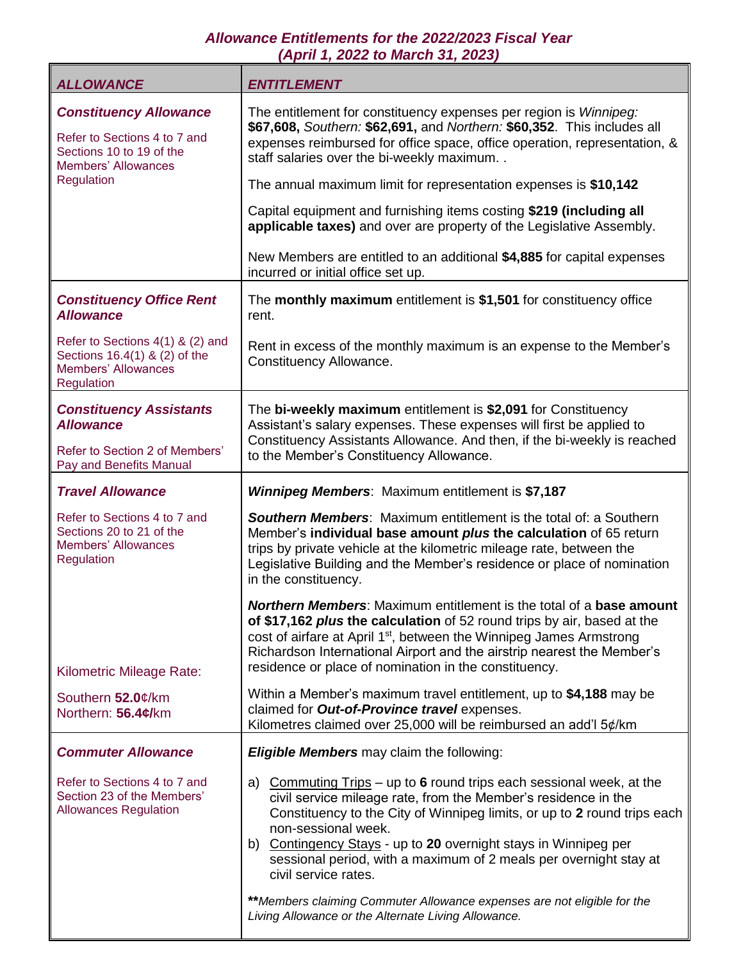## *Allowance Entitlements for the 2022/2023 Fiscal Year (April 1, 2022 to March 31, 2023)*

| <b>ALLOWANCE</b>                                                                                                        | <b>ENTITLEMENT</b>                                                                                                                                                                                                                                                                                                                                                                                                                                                                                                                             |
|-------------------------------------------------------------------------------------------------------------------------|------------------------------------------------------------------------------------------------------------------------------------------------------------------------------------------------------------------------------------------------------------------------------------------------------------------------------------------------------------------------------------------------------------------------------------------------------------------------------------------------------------------------------------------------|
| <b>Constituency Allowance</b><br>Refer to Sections 4 to 7 and<br>Sections 10 to 19 of the<br><b>Members' Allowances</b> | The entitlement for constituency expenses per region is Winnipeg:<br>\$67,608, Southern: \$62,691, and Northern: \$60,352. This includes all<br>expenses reimbursed for office space, office operation, representation, &<br>staff salaries over the bi-weekly maximum. .                                                                                                                                                                                                                                                                      |
| Regulation                                                                                                              | The annual maximum limit for representation expenses is \$10,142                                                                                                                                                                                                                                                                                                                                                                                                                                                                               |
|                                                                                                                         | Capital equipment and furnishing items costing \$219 (including all<br>applicable taxes) and over are property of the Legislative Assembly.                                                                                                                                                                                                                                                                                                                                                                                                    |
|                                                                                                                         | New Members are entitled to an additional \$4,885 for capital expenses<br>incurred or initial office set up.                                                                                                                                                                                                                                                                                                                                                                                                                                   |
| <b>Constituency Office Rent</b><br><b>Allowance</b>                                                                     | The monthly maximum entitlement is \$1,501 for constituency office<br>rent.                                                                                                                                                                                                                                                                                                                                                                                                                                                                    |
| Refer to Sections 4(1) & (2) and<br>Sections 16.4(1) & (2) of the<br><b>Members' Allowances</b><br>Regulation           | Rent in excess of the monthly maximum is an expense to the Member's<br>Constituency Allowance.                                                                                                                                                                                                                                                                                                                                                                                                                                                 |
| <b>Constituency Assistants</b><br><b>Allowance</b>                                                                      | The bi-weekly maximum entitlement is \$2,091 for Constituency<br>Assistant's salary expenses. These expenses will first be applied to<br>Constituency Assistants Allowance. And then, if the bi-weekly is reached                                                                                                                                                                                                                                                                                                                              |
| Refer to Section 2 of Members'<br>Pay and Benefits Manual                                                               | to the Member's Constituency Allowance.                                                                                                                                                                                                                                                                                                                                                                                                                                                                                                        |
| <b>Travel Allowance</b>                                                                                                 | <b>Winnipeg Members:</b> Maximum entitlement is \$7,187                                                                                                                                                                                                                                                                                                                                                                                                                                                                                        |
| Refer to Sections 4 to 7 and<br>Sections 20 to 21 of the<br><b>Members' Allowances</b><br>Regulation                    | <b>Southern Members:</b> Maximum entitlement is the total of: a Southern<br>Member's individual base amount plus the calculation of 65 return<br>trips by private vehicle at the kilometric mileage rate, between the<br>Legislative Building and the Member's residence or place of nomination<br>in the constituency.                                                                                                                                                                                                                        |
| Kilometric Mileage Rate:                                                                                                | <b>Northern Members:</b> Maximum entitlement is the total of a <b>base amo</b><br>of \$17,162 plus the calculation of 52 round trips by air, based at the<br>cost of airfare at April 1 <sup>st</sup> , between the Winnipeg James Armstrong<br>Richardson International Airport and the airstrip nearest the Member's<br>residence or place of nomination in the constituency.                                                                                                                                                                |
| Southern 52.0¢/km<br>Northern: 56.4¢/km                                                                                 | Within a Member's maximum travel entitlement, up to \$4,188 may be<br>claimed for Out-of-Province travel expenses.<br>Kilometres claimed over 25,000 will be reimbursed an add'l 5¢/km                                                                                                                                                                                                                                                                                                                                                         |
| <b>Commuter Allowance</b>                                                                                               | <b>Eligible Members</b> may claim the following:                                                                                                                                                                                                                                                                                                                                                                                                                                                                                               |
| Refer to Sections 4 to 7 and<br>Section 23 of the Members'<br><b>Allowances Regulation</b>                              | a) Commuting $Trips - up to 6$ round trips each sessional week, at the<br>civil service mileage rate, from the Member's residence in the<br>Constituency to the City of Winnipeg limits, or up to 2 round trips each<br>non-sessional week.<br>b) Contingency Stays - up to 20 overnight stays in Winnipeg per<br>sessional period, with a maximum of 2 meals per overnight stay at<br>civil service rates.<br>** Members claiming Commuter Allowance expenses are not eligible for the<br>Living Allowance or the Alternate Living Allowance. |